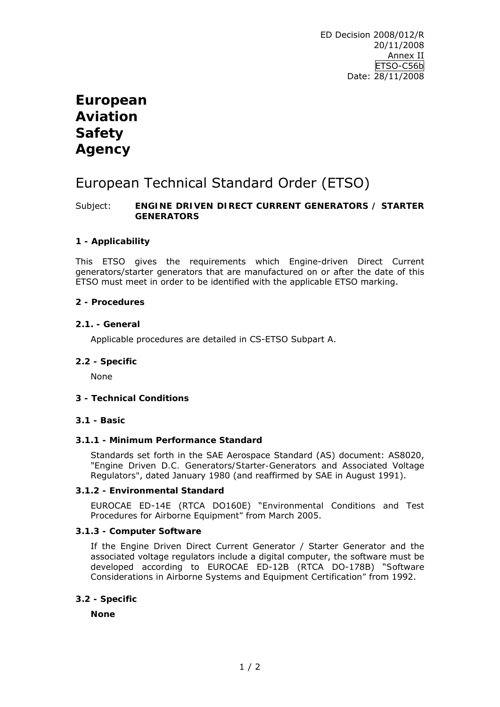# **European Aviation Safety Agency**

# European Technical Standard Order (ETSO)

## Subject: **ENGINE DRIVEN DIRECT CURRENT GENERATORS / STARTER GENERATORS**

## **1 - Applicability**

This ETSO gives the requirements which Engine-driven Direct Current generators/starter generators that are manufactured on or after the date of this ETSO must meet in order to be identified with the applicable ETSO marking.

## **2 - Procedures**

## **2.1. - General**

Applicable procedures are detailed in CS-ETSO Subpart A.

#### **2.2 - Specific**

None

## **3 - Technical Conditions**

#### **3.1 - Basic**

#### **3.1.1 - Minimum Performance Standard**

Standards set forth in the SAE Aerospace Standard (AS) document: AS8020, "*Engine Driven D.C. Generators/Starter-Generators and Associated Voltage Regulators"*, dated January 1980 (and reaffirmed by SAE in August 1991).

#### **3.1.2 - Environmental Standard**

EUROCAE ED-14E (RTCA DO160E) "*Environmental Conditions and Test Procedures for Airborne Equipment"* from March 2005.

## **3.1.3 - Computer Software**

If the Engine Driven Direct Current Generator / Starter Generator and the associated voltage regulators include a digital computer, the software must be developed according to EUROCAE ED-12B (RTCA DO-178B) "*Software Considerations in Airborne Systems and Equipment Certification"* from 1992.

#### **3.2 - Specific**

**None**